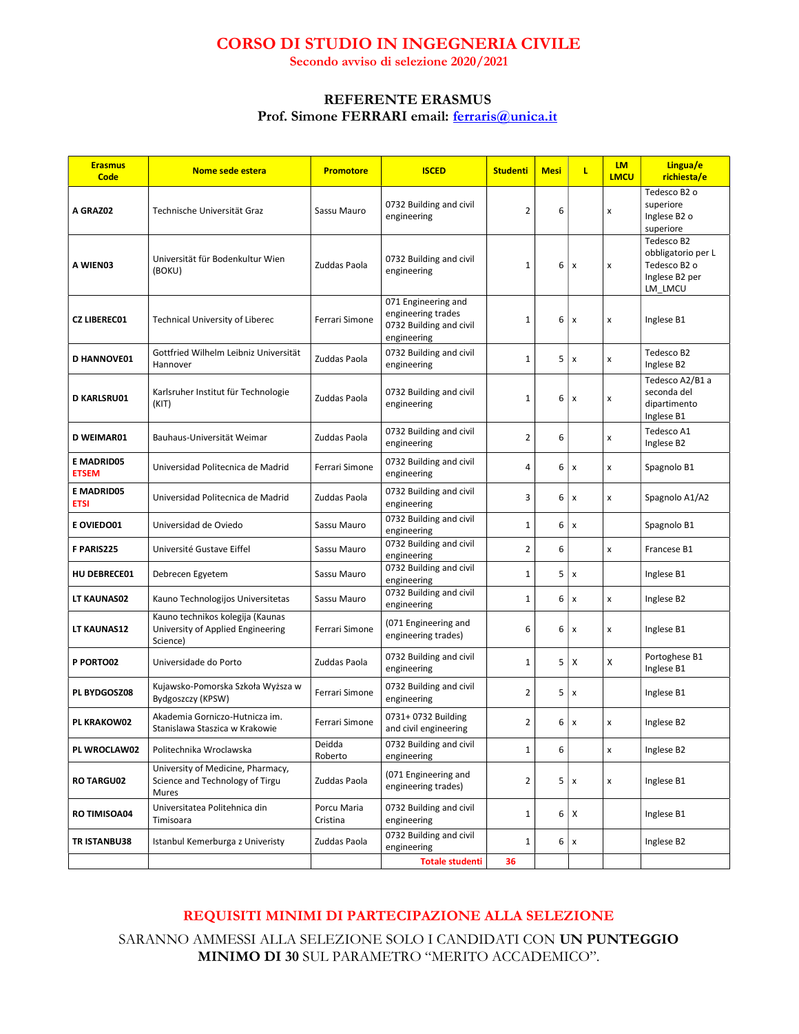## CORSO DI STUDIO IN INGEGNERIA CIVILE

Secondo avviso di selezione 2020/2021

## REFERENTE ERASMUS Prof. Simone FERRARI email: ferraris@unica.it

| <b>Erasmus</b><br>Code            | Nome sede estera                                                                  | <b>Promotore</b>        | <b>ISCED</b>                                                                        | <b>Studenti</b> | Mesi | L                         | <b>LM</b><br><b>LMCU</b> | Lingua/e<br>richiesta/e                                                       |
|-----------------------------------|-----------------------------------------------------------------------------------|-------------------------|-------------------------------------------------------------------------------------|-----------------|------|---------------------------|--------------------------|-------------------------------------------------------------------------------|
| A GRAZ02                          | Technische Universität Graz                                                       | Sassu Mauro             | 0732 Building and civil<br>engineering                                              | 2               | 6    |                           | $\pmb{\mathsf{x}}$       | Tedesco B2 o<br>superiore<br>Inglese B2 o<br>superiore                        |
| A WIEN03                          | Universität für Bodenkultur Wien<br>(BOKU)                                        | Zuddas Paola            | 0732 Building and civil<br>engineering                                              | $\mathbf{1}$    | 6    | $\pmb{\times}$            | x                        | Tedesco B2<br>obbligatorio per L<br>Tedesco B2 o<br>Inglese B2 per<br>LM LMCU |
| <b>CZ LIBEREC01</b>               | <b>Technical University of Liberec</b>                                            | Ferrari Simone          | 071 Engineering and<br>engineering trades<br>0732 Building and civil<br>engineering | 1               | 6    | $\pmb{\times}$            | x                        | Inglese B1                                                                    |
| <b>D HANNOVE01</b>                | Gottfried Wilhelm Leibniz Universität<br>Hannover                                 | Zuddas Paola            | 0732 Building and civil<br>engineering                                              | 1               | 5    | $\pmb{\times}$            | x                        | Tedesco B2<br>Inglese B2                                                      |
| <b>D KARLSRU01</b>                | Karlsruher Institut für Technologie<br>(KIT)                                      | Zuddas Paola            | 0732 Building and civil<br>engineering                                              | 1               | 6    | $\pmb{\times}$            | $\pmb{\mathsf{x}}$       | Tedesco A2/B1 a<br>seconda del<br>dipartimento<br>Inglese B1                  |
| <b>D WEIMAR01</b>                 | Bauhaus-Universität Weimar                                                        | Zuddas Paola            | 0732 Building and civil<br>engineering                                              | 2               | 6    |                           | $\pmb{\mathsf{x}}$       | Tedesco A1<br>Inglese B2                                                      |
| <b>E MADRID05</b><br><b>ETSEM</b> | Universidad Politecnica de Madrid                                                 | Ferrari Simone          | 0732 Building and civil<br>engineering                                              | 4               | 6    | x                         | x                        | Spagnolo B1                                                                   |
| <b>E MADRID05</b><br><b>ETSI</b>  | Universidad Politecnica de Madrid                                                 | Zuddas Paola            | 0732 Building and civil<br>engineering                                              | 3               | 6    | $\boldsymbol{\mathsf{x}}$ | x                        | Spagnolo A1/A2                                                                |
| E OVIEDO01                        | Universidad de Oviedo                                                             | Sassu Mauro             | 0732 Building and civil<br>engineering                                              | $\mathbf{1}$    | 6    | $\pmb{\times}$            |                          | Spagnolo B1                                                                   |
| F PARIS225                        | Université Gustave Eiffel                                                         | Sassu Mauro             | 0732 Building and civil<br>engineering                                              | $\overline{2}$  | 6    |                           | $\pmb{\mathsf{x}}$       | Francese B1                                                                   |
| <b>HU DEBRECE01</b>               | Debrecen Egyetem                                                                  | Sassu Mauro             | 0732 Building and civil<br>engineering                                              | $\mathbf 1$     | 5    | $\boldsymbol{\mathsf{x}}$ |                          | Inglese B1                                                                    |
| LT KAUNAS02                       | Kauno Technologijos Universitetas                                                 | Sassu Mauro             | 0732 Building and civil<br>engineering                                              | $\mathbf{1}$    | 6    | $\boldsymbol{\mathsf{x}}$ | $\pmb{\mathsf{x}}$       | Inglese B2                                                                    |
| LT KAUNAS12                       | Kauno technikos kolegija (Kaunas<br>University of Applied Engineering<br>Science) | Ferrari Simone          | (071 Engineering and<br>engineering trades)                                         | 6               | 6    | $\pmb{\times}$            | x                        | Inglese B1                                                                    |
| P PORTO02                         | Universidade do Porto                                                             | Zuddas Paola            | 0732 Building and civil<br>engineering                                              | $\mathbf{1}$    | 5    | X                         | X                        | Portoghese B1<br>Inglese B1                                                   |
| PL BYDGOSZ08                      | Kujawsko-Pomorska Szkoła Wyższa w<br>Bydgoszczy (KPSW)                            | Ferrari Simone          | 0732 Building and civil<br>engineering                                              | 2               | 5    | $\pmb{\times}$            |                          | Inglese B1                                                                    |
| <b>PL KRAKOW02</b>                | Akademia Gorniczo-Hutnicza im.<br>Stanislawa Staszica w Krakowie                  | Ferrari Simone          | 0731+ 0732 Building<br>and civil engineering                                        | 2               | 6    | $\boldsymbol{\mathsf{x}}$ | x                        | Inglese B2                                                                    |
| PL WROCLAW02                      | Politechnika Wroclawska                                                           | Deidda<br>Roberto       | 0732 Building and civil<br>engineering                                              | $\mathbf 1$     | 6    |                           | $\pmb{\mathsf{x}}$       | Inglese B2                                                                    |
| <b>RO TARGU02</b>                 | University of Medicine, Pharmacy,<br>Science and Technology of Tirgu<br>Mures     | Zuddas Paola            | (071 Engineering and<br>engineering trades)                                         | 2               | 5    | $\pmb{\times}$            | x                        | Inglese B1                                                                    |
| RO TIMISOA04                      | Universitatea Politehnica din<br>Timisoara                                        | Porcu Maria<br>Cristina | 0732 Building and civil<br>engineering                                              | 1               | 6    | Х                         |                          | Inglese B1                                                                    |
| TR ISTANBU38                      | Istanbul Kemerburga z Univeristy                                                  | Zuddas Paola            | 0732 Building and civil<br>engineering                                              | 1               | 6    | $\pmb{\times}$            |                          | Inglese B2                                                                    |
|                                   |                                                                                   |                         | <b>Totale studenti</b>                                                              | 36              |      |                           |                          |                                                                               |

## REQUISITI MINIMI DI PARTECIPAZIONE ALLA SELEZIONE

SARANNO AMMESSI ALLA SELEZIONE SOLO I CANDIDATI CON UN PUNTEGGIO MINIMO DI 30 SUL PARAMETRO "MERITO ACCADEMICO".